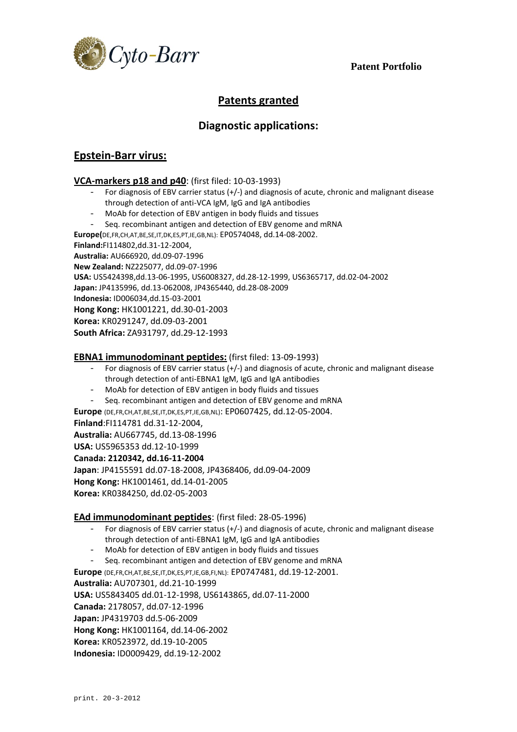

# **Patents granted**

## **Diagnostic applications:**

## **Epstein‐Barr virus:**

#### **VCA‐markers p18 and p40**: (first filed: 10‐03‐1993)

- For diagnosis of EBV carrier status  $(+/-)$  and diagnosis of acute, chronic and malignant disease through detection of anti‐VCA IgM, IgG and IgA antibodies
- MoAb for detection of EBV antigen in body fluids and tissues
- Seq. recombinant antigen and detection of EBV genome and mRNA

**Europe(**DE,FR,CH,AT,BE,SE,IT,DK,ES,PT,IE,GB,NL): EP0574048, dd.14‐08‐2002. **Finland:**FI114802,dd.31‐12‐2004, **Australia:** AU666920, dd.09‐07‐1996 **New Zealand:** NZ225077, dd.09‐07‐1996 **USA:** US5424398,dd.13‐06‐1995, US6008327, dd.28‐12‐1999, US6365717, dd.02‐04‐2002 **Japan:** JP4135996, dd.13‐062008, JP4365440, dd.28‐08‐2009 **Indonesia:** ID006034,dd.15‐03‐2001 **Hong Kong:** HK1001221, dd.30‐01‐2003 **Korea:** KR0291247, dd.09‐03‐2001 **South Africa:** ZA931797, dd.29‐12‐1993

#### **EBNA1 immunodominant peptides:** (first filed: 13‐09‐1993)

- For diagnosis of EBV carrier status (+/-) and diagnosis of acute, chronic and malignant disease through detection of anti‐EBNA1 IgM, IgG and IgA antibodies
- MoAb for detection of EBV antigen in body fluids and tissues
- Seq. recombinant antigen and detection of EBV genome and mRNA

**Europe** (DE,FR,CH,AT,BE,SE,IT,DK,ES,PT,IE,GB,NL): EP0607425, dd.12‐05‐2004.

**Finland**:FI114781 dd.31‐12‐2004,

**Australia:** AU667745, dd.13‐08‐1996

**USA:** US5965353 dd.12‐10‐1999

**Canada: 2120342, dd.16‐11‐2004**

**Japan**: JP4155591 dd.07‐18‐2008, JP4368406, dd.09‐04‐2009

**Hong Kong:** HK1001461, dd.14‐01‐2005

**Korea:** KR0384250, dd.02‐05‐2003

#### **EAd immunodominant peptides**: (first filed: 28‐05‐1996)

- For diagnosis of EBV carrier status (+/‐) and diagnosis of acute, chronic and malignant disease through detection of anti‐EBNA1 IgM, IgG and IgA antibodies
- MoAb for detection of EBV antigen in body fluids and tissues
- Seq. recombinant antigen and detection of EBV genome and mRNA

**Europe** (DE,FR,CH,AT,BE,SE,IT,DK,ES,PT,IE,GB,FI,NL): EP0747481, dd.19‐12‐2001.

**Australia:** AU707301, dd.21‐10‐1999

**USA:** US5843405 dd.01‐12‐1998, US6143865, dd.07‐11‐2000

**Canada:** 2178057, dd.07‐12‐1996

**Japan:** JP4319703 dd.5‐06‐2009

**Hong Kong:** HK1001164, dd.14‐06‐2002

**Korea:** KR0523972, dd.19‐10‐2005

**Indonesia:** ID0009429, dd.19‐12‐2002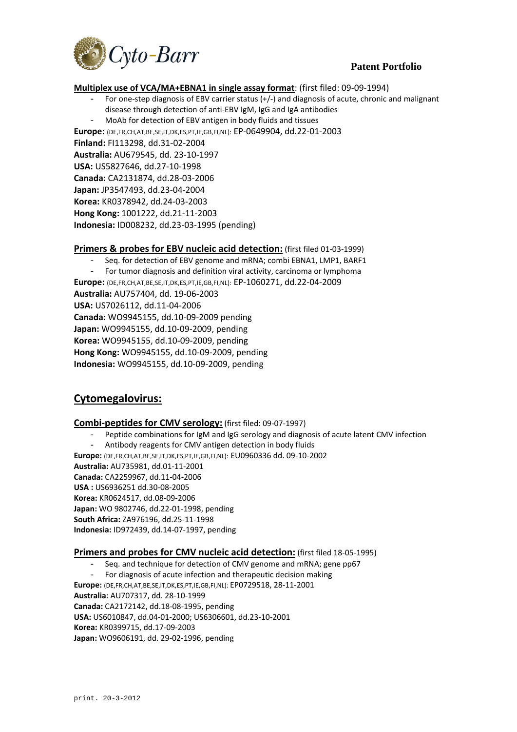

### **Multiplex use of VCA/MA+EBNA1 in single assay format**: (first filed: 09‐09‐1994)

- For one-step diagnosis of EBV carrier status (+/-) and diagnosis of acute, chronic and malignant disease through detection of anti‐EBV IgM, IgG and IgA antibodies
- MoAb for detection of EBV antigen in body fluids and tissues

**Europe:** (DE,FR,CH,AT,BE,SE,IT,DK,ES,PT,IE,GB,FI,NL): EP‐0649904, dd.22‐01‐2003 **Finland:** FI113298, dd.31‐02‐2004 **Australia:** AU679545, dd. 23‐10‐1997 **USA:** US5827646, dd.27‐10‐1998 **Canada:** CA2131874, dd.28‐03‐2006 **Japan:** JP3547493, dd.23‐04‐2004 **Korea:** KR0378942, dd.24‐03‐2003 **Hong Kong:** 1001222, dd.21‐11‐2003 **Indonesia:** ID008232, dd.23‐03‐1995 (pending)

## **Primers & probes for EBV nucleic acid detection:** (first filed 01‐03‐1999)

- Seq. for detection of EBV genome and mRNA; combi EBNA1, LMP1, BARF1
- For tumor diagnosis and definition viral activity, carcinoma or lymphoma

**Europe:** (DE,FR,CH,AT,BE,SE,IT,DK,ES,PT,IE,GB,FI,NL): EP‐1060271, dd.22‐04‐2009 **Australia:** AU757404, dd. 19‐06‐2003 **USA:** US7026112, dd.11‐04‐2006 **Canada:** WO9945155, dd.10‐09‐2009 pending **Japan:** WO9945155, dd.10‐09‐2009, pending **Korea:** WO9945155, dd.10‐09‐2009, pending **Hong Kong:** WO9945155, dd.10‐09‐2009, pending **Indonesia:** WO9945155, dd.10‐09‐2009, pending

## **Cytomegalovirus:**

#### **Combi‐peptides for CMV serology:** (first filed: 09‐07‐1997)

Peptide combinations for IgM and IgG serology and diagnosis of acute latent CMV infection

- Antibody reagents for CMV antigen detection in body fluids

**Europe:** (DE,FR,CH,AT,BE,SE,IT,DK,ES,PT,IE,GB,FI,NL): EU0960336 dd. 09‐10‐2002

**Australia:** AU735981, dd.01‐11‐2001 **Canada:** CA2259967, dd.11‐04‐2006

**USA :** US6936251 dd.30‐08‐2005 **Korea:** KR0624517, dd.08‐09‐2006

**Japan:** WO 9802746, dd.22‐01‐1998, pending **South Africa:** ZA976196, dd.25‐11‐1998

**Indonesia:** ID972439, dd.14‐07‐1997, pending

### **Primers and probes for CMV nucleic acid detection:** (first filed 18‐05‐1995)

- Seq. and technique for detection of CMV genome and mRNA; gene pp67

- For diagnosis of acute infection and therapeutic decision making

**Europe:** (DE,FR,CH,AT,BE,SE,IT,DK,ES,PT,IE,GB,FI,NL): EP0729518, 28‐11‐2001 **Australia**: AU707317, dd. 28‐10‐1999 **Canada:** CA2172142, dd.18‐08‐1995, pending **USA:** US6010847, dd.04‐01‐2000; US6306601, dd.23‐10‐2001 **Korea:** KR0399715, dd.17‐09‐2003 **Japan:** WO9606191, dd. 29‐02‐1996, pending